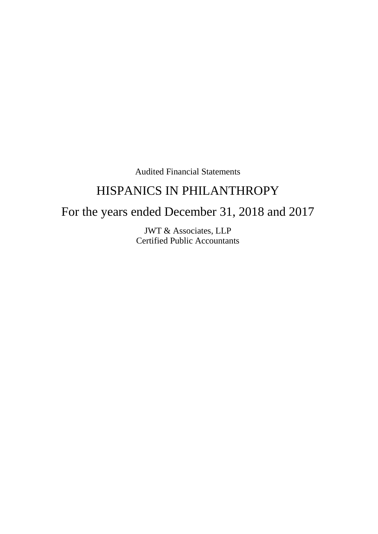Audited Financial Statements

# HISPANICS IN PHILANTHROPY

# For the years ended December 31, 2018 and 2017

JWT & Associates, LLP Certified Public Accountants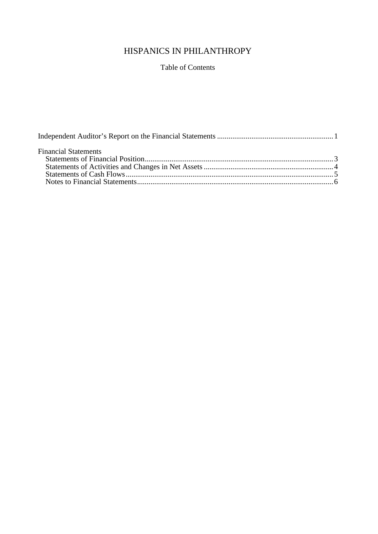### Table of Contents

| <b>Financial Statements</b> |  |
|-----------------------------|--|
|                             |  |
|                             |  |
|                             |  |
|                             |  |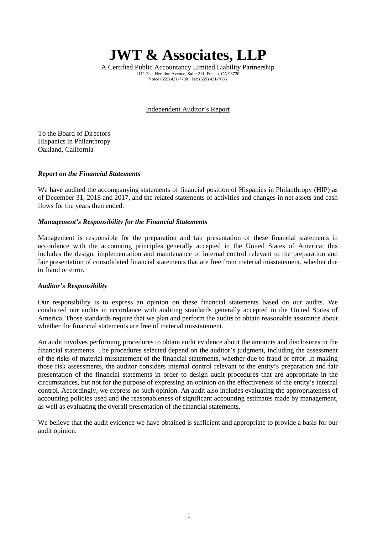**JWT & Associates, LLP**

A Certified Public Accountancy Limited Liability Partnership 1111 East Herndon Avenue, Suite 211, Fresno, CA 93720 Voice (559) 431-7708 Fax (559) 431-7685

#### Independent Auditor's Report

To the Board of Directors Hispanics in Philanthropy Oakland, California

#### *Report on the Financial Statements*

We have audited the accompanying statements of financial position of Hispanics in Philanthropy (HIP) as of December 31, 2018 and 2017, and the related statements of activities and changes in net assets and cash flows for the years then ended.

#### *Management's Responsibility for the Financial Statements*

Management is responsible for the preparation and fair presentation of these financial statements in accordance with the accounting principles generally accepted in the United States of America; this includes the design, implementation and maintenance of internal control relevant to the preparation and fair presentation of consolidated financial statements that are free from material misstatement, whether due to fraud or error.

#### *Auditor's Responsibility*

Our responsibility is to express an opinion on these financial statements based on our audits. We conducted our audits in accordance with auditing standards generally accepted in the United States of America. Those standards require that we plan and perform the audits to obtain reasonable assurance about whether the financial statements are free of material misstatement.

An audit involves performing procedures to obtain audit evidence about the amounts and disclosures in the financial statements. The procedures selected depend on the auditor's judgment, including the assessment of the risks of material misstatement of the financial statements, whether due to fraud or error. In making those risk assessments, the auditor considers internal control relevant to the entity's preparation and fair presentation of the financial statements in order to design audit procedures that are appropriate in the circumstances, but not for the purpose of expressing an opinion on the effectiveness of the entity's internal control. Accordingly, we express no such opinion. An audit also includes evaluating the appropriateness of accounting policies used and the reasonableness of significant accounting estimates made by management, as well as evaluating the overall presentation of the financial statements.

We believe that the audit evidence we have obtained is sufficient and appropriate to provide a basis for our audit opinion.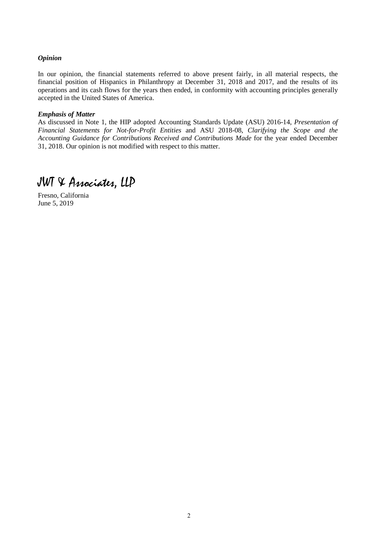#### *Opinion*

In our opinion, the financial statements referred to above present fairly, in all material respects, the financial position of Hispanics in Philanthropy at December 31, 2018 and 2017, and the results of its operations and its cash flows for the years then ended, in conformity with accounting principles generally accepted in the United States of America.

#### *Emphasis of Matter*

As discussed in Note 1, the HIP adopted Accounting Standards Update (ASU) 2016-14, *Presentation of Financial Statements for Not-for-Profit Entities* and ASU 2018-08, *Clarifying the Scope and the Accounting Guidance for Contributions Received and Contributions Made* for the year ended December 31, 2018. Our opinion is not modified with respect to this matter.

JWT & Associates, LLP

Fresno, California June 5, 2019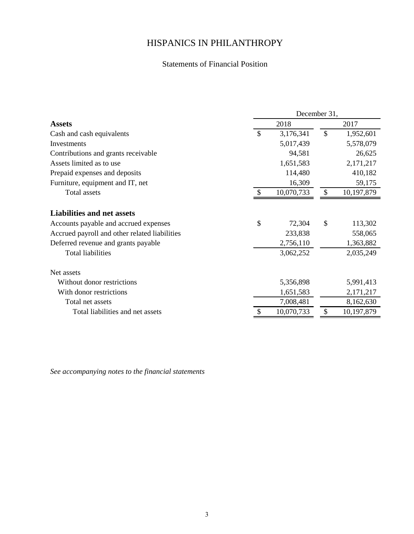## Statements of Financial Position

|                                               | December 31, |            |               |            |  |  |
|-----------------------------------------------|--------------|------------|---------------|------------|--|--|
| <b>Assets</b>                                 |              | 2018       | 2017          |            |  |  |
| Cash and cash equivalents                     | \$           | 3,176,341  | $\mathcal{S}$ | 1,952,601  |  |  |
| <b>Investments</b>                            |              | 5,017,439  |               | 5,578,079  |  |  |
| Contributions and grants receivable           |              | 94,581     |               | 26,625     |  |  |
| Assets limited as to use                      |              | 1,651,583  |               | 2,171,217  |  |  |
| Prepaid expenses and deposits                 |              | 114,480    |               | 410,182    |  |  |
| Furniture, equipment and IT, net              |              | 16,309     |               | 59,175     |  |  |
| <b>Total assets</b>                           |              | 10,070,733 | \$            | 10,197,879 |  |  |
| <b>Liabilities and net assets</b>             |              |            |               |            |  |  |
| Accounts payable and accrued expenses         | \$           | 72,304     | $\mathcal{S}$ | 113,302    |  |  |
| Accrued payroll and other related liabilities |              | 233,838    |               | 558,065    |  |  |
| Deferred revenue and grants payable           |              | 2,756,110  |               | 1,363,882  |  |  |
| <b>Total liabilities</b>                      |              | 3,062,252  |               | 2,035,249  |  |  |
| Net assets                                    |              |            |               |            |  |  |
| Without donor restrictions                    |              | 5,356,898  |               | 5,991,413  |  |  |
| With donor restrictions                       |              | 1,651,583  |               | 2,171,217  |  |  |
| Total net assets                              |              | 7,008,481  |               | 8,162,630  |  |  |
| Total liabilities and net assets              |              | 10,070,733 | \$            | 10,197,879 |  |  |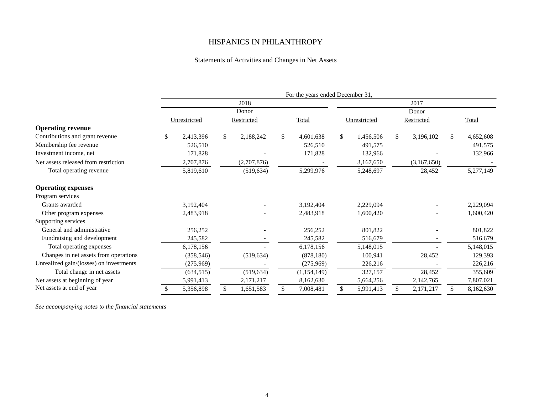## Statements of Activities and Changes in Net Assets

|                                         | For the years ended December 31, |              |             |    |               |              |              |                 |                 |
|-----------------------------------------|----------------------------------|--------------|-------------|----|---------------|--------------|--------------|-----------------|-----------------|
|                                         |                                  |              | 2018        |    |               |              |              | 2017            |                 |
|                                         |                                  |              | Donor       |    |               |              |              | Donor           |                 |
|                                         | Unrestricted                     |              | Restricted  |    | Total         |              | Unrestricted | Restricted      | Total           |
| <b>Operating revenue</b>                |                                  |              |             |    |               |              |              |                 |                 |
| Contributions and grant revenue         | \$<br>2,413,396                  | $\mathbb{S}$ | 2,188,242   | \$ | 4,601,638     | $\mathbb{S}$ | 1,456,506    | \$<br>3,196,102 | \$<br>4,652,608 |
| Membership fee revenue                  | 526,510                          |              |             |    | 526,510       |              | 491,575      |                 | 491,575         |
| Investment income, net                  | 171,828                          |              |             |    | 171,828       |              | 132,966      |                 | 132,966         |
| Net assets released from restriction    | 2,707,876                        |              | (2,707,876) |    |               |              | 3,167,650    | (3,167,650)     |                 |
| Total operating revenue                 | 5,819,610                        |              | (519, 634)  |    | 5,299,976     |              | 5,248,697    | 28,452          | 5,277,149       |
| <b>Operating expenses</b>               |                                  |              |             |    |               |              |              |                 |                 |
| Program services                        |                                  |              |             |    |               |              |              |                 |                 |
| Grants awarded                          | 3,192,404                        |              |             |    | 3,192,404     |              | 2,229,094    |                 | 2,229,094       |
| Other program expenses                  | 2,483,918                        |              |             |    | 2,483,918     |              | 1,600,420    |                 | 1,600,420       |
| Supporting services                     |                                  |              |             |    |               |              |              |                 |                 |
| General and administrative              | 256,252                          |              |             |    | 256,252       |              | 801,822      |                 | 801,822         |
| Fundraising and development             | 245,582                          |              |             |    | 245,582       |              | 516,679      |                 | 516,679         |
| Total operating expenses                | 6,178,156                        |              |             |    | 6,178,156     |              | 5,148,015    |                 | 5,148,015       |
| Changes in net assets from operations   | (358, 546)                       |              | (519, 634)  |    | (878, 180)    |              | 100,941      | 28,452          | 129,393         |
| Unrealized gain/(losses) on investments | (275,969)                        |              |             |    | (275,969)     |              | 226,216      |                 | 226,216         |
| Total change in net assets              | (634, 515)                       |              | (519, 634)  |    | (1, 154, 149) |              | 327,157      | 28,452          | 355,609         |
| Net assets at beginning of year         | 5,991,413                        |              | 2,171,217   |    | 8,162,630     |              | 5,664,256    | 2,142,765       | 7,807,021       |
| Net assets at end of year               | 5,356,898                        | \$           | 1,651,583   | \$ | 7,008,481     | \$           | 5,991,413    | \$<br>2,171,217 | 8,162,630       |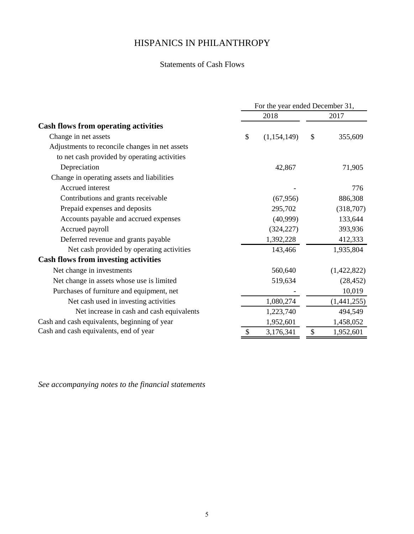## Statements of Cash Flows

|                                                | For the year ended December 31, |             |      |             |
|------------------------------------------------|---------------------------------|-------------|------|-------------|
|                                                |                                 | 2018        | 2017 |             |
| <b>Cash flows from operating activities</b>    |                                 |             |      |             |
| Change in net assets                           | \$                              | (1,154,149) | \$   | 355,609     |
| Adjustments to reconcile changes in net assets |                                 |             |      |             |
| to net cash provided by operating activities   |                                 |             |      |             |
| Depreciation                                   |                                 | 42,867      |      | 71,905      |
| Change in operating assets and liabilities     |                                 |             |      |             |
| Accrued interest                               |                                 |             |      | 776         |
| Contributions and grants receivable            |                                 | (67, 956)   |      | 886,308     |
| Prepaid expenses and deposits                  |                                 | 295,702     |      | (318,707)   |
| Accounts payable and accrued expenses          |                                 | (40,999)    |      | 133,644     |
| Accrued payroll                                |                                 | (324, 227)  |      | 393,936     |
| Deferred revenue and grants payable            |                                 | 1,392,228   |      | 412,333     |
| Net cash provided by operating activities      |                                 | 143,466     |      | 1,935,804   |
| <b>Cash flows from investing activities</b>    |                                 |             |      |             |
| Net change in investments                      |                                 | 560,640     |      | (1,422,822) |
| Net change in assets whose use is limited      |                                 | 519,634     |      | (28, 452)   |
| Purchases of furniture and equipment, net      |                                 |             |      | 10,019      |
| Net cash used in investing activities          |                                 | 1,080,274   |      | (1,441,255) |
| Net increase in cash and cash equivalents      |                                 | 1,223,740   |      | 494,549     |
| Cash and cash equivalents, beginning of year   |                                 | 1,952,601   |      | 1,458,052   |
| Cash and cash equivalents, end of year         | \$                              | 3,176,341   | \$   | 1,952,601   |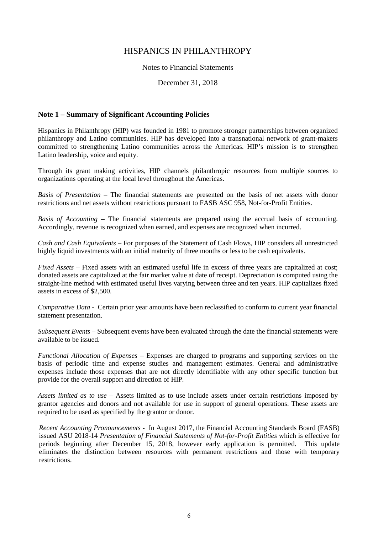#### Notes to Financial Statements

December 31, 2018

#### **Note 1 – Summary of Significant Accounting Policies**

Hispanics in Philanthropy (HIP) was founded in 1981 to promote stronger partnerships between organized philanthropy and Latino communities. HIP has developed into a transnational network of grant-makers committed to strengthening Latino communities across the Americas. HIP's mission is to strengthen Latino leadership, voice and equity.

Through its grant making activities, HIP channels philanthropic resources from multiple sources to organizations operating at the local level throughout the Americas.

*Basis of Presentation* – The financial statements are presented on the basis of net assets with donor restrictions and net assets without restrictions pursuant to FASB ASC 958, Not-for-Profit Entities.

*Basis of Accounting* – The financial statements are prepared using the accrual basis of accounting. Accordingly, revenue is recognized when earned, and expenses are recognized when incurred.

*Cash and Cash Equivalents* – For purposes of the Statement of Cash Flows, HIP considers all unrestricted highly liquid investments with an initial maturity of three months or less to be cash equivalents.

*Fixed Assets* – Fixed assets with an estimated useful life in excess of three years are capitalized at cost; donated assets are capitalized at the fair market value at date of receipt. Depreciation is computed using the straight-line method with estimated useful lives varying between three and ten years. HIP capitalizes fixed assets in excess of \$2,500.

*Comparative Data -* Certain prior year amounts have been reclassified to conform to current year financial statement presentation.

*Subsequent Events* – Subsequent events have been evaluated through the date the financial statements were available to be issued.

*Functional Allocation of Expenses* – Expenses are charged to programs and supporting services on the basis of periodic time and expense studies and management estimates. General and administrative expenses include those expenses that are not directly identifiable with any other specific function but provide for the overall support and direction of HIP.

*Assets limited as to use* – Assets limited as to use include assets under certain restrictions imposed by grantor agencies and donors and not available for use in support of general operations. These assets are required to be used as specified by the grantor or donor.

*Recent Accounting Pronouncements -* In August 2017, the Financial Accounting Standards Board (FASB) issued ASU 2018-14 *Presentation of Financial Statements of Not-for-Profit Entities* which is effective for periods beginning after December 15, 2018, however early application is permitted. This update eliminates the distinction between resources with permanent restrictions and those with temporary restrictions.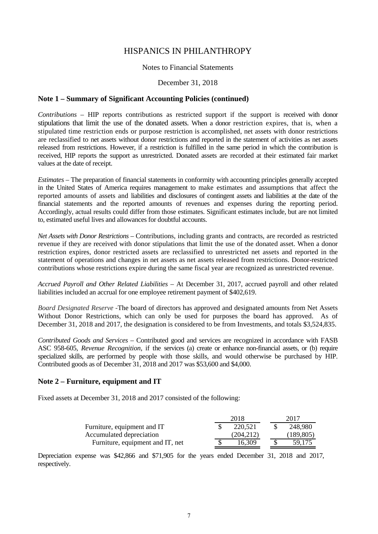#### Notes to Financial Statements

#### December 31, 2018

#### **Note 1 – Summary of Significant Accounting Policies (continued)**

*Contributions* – HIP reports contributions as restricted support if the support is received with donor stipulations that limit the use of the donated assets. When a donor restriction expires, that is, when a stipulated time restriction ends or purpose restriction is accomplished, net assets with donor restrictions are reclassified to net assets without donor restrictions and reported in the statement of activities as net assets released from restrictions. However, if a restriction is fulfilled in the same period in which the contribution is received, HIP reports the support as unrestricted. Donated assets are recorded at their estimated fair market values at the date of receipt.

*Estimates* – The preparation of financial statements in conformity with accounting principles generally accepted in the United States of America requires management to make estimates and assumptions that affect the reported amounts of assets and liabilities and disclosures of contingent assets and liabilities at the date of the financial statements and the reported amounts of revenues and expenses during the reporting period. Accordingly, actual results could differ from those estimates. Significant estimates include, but are not limited to, estimated useful lives and allowances for doubtful accounts.

*Net Assets with Donor Restrictions* – Contributions, including grants and contracts, are recorded as restricted revenue if they are received with donor stipulations that limit the use of the donated asset. When a donor restriction expires, donor restricted assets are reclassified to unrestricted net assets and reported in the statement of operations and changes in net assets as net assets released from restrictions. Donor-restricted contributions whose restrictions expire during the same fiscal year are recognized as unrestricted revenue.

*Accrued Payroll and Other Related Liabilities* – At December 31, 2017, accrued payroll and other related liabilities included an accrual for one employee retirement payment of \$402,619.

*Board Designated Reserve -*The board of directors has approved and designated amounts from Net Assets Without Donor Restrictions, which can only be used for purposes the board has approved. As of December 31, 2018 and 2017, the designation is considered to be from Investments, and totals \$3,524,835.

*Contributed Goods and Services –* Contributed good and services are recognized in accordance with FASB ASC 958-605, *Revenue Recognition*, if the services (a) create or enhance non-financial assets, or (b) require specialized skills, are performed by people with those skills, and would otherwise be purchased by HIP. Contributed goods as of December 31, 2018 and 2017 was \$53,600 and \$4,000.

#### **Note 2 – Furniture, equipment and IT**

Fixed assets at December 31, 2018 and 2017 consisted of the following:

|                                  | 2018      | 2017       |
|----------------------------------|-----------|------------|
| Furniture, equipment and IT      | 220,521   | 248,980    |
| Accumulated depreciation         | (204.212) | (189, 805) |
| Furniture, equipment and IT, net | 16.309    | 59,175     |

Depreciation expense was \$42,866 and \$71,905 for the years ended December 31, 2018 and 2017, respectively.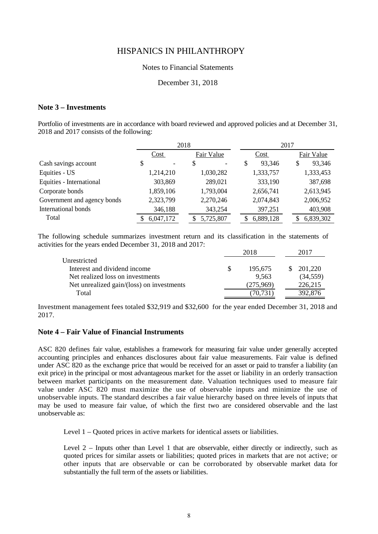#### Notes to Financial Statements

#### December 31, 2018

#### **Note 3 – Investments**

Portfolio of investments are in accordance with board reviewed and approved policies and at December 31, 2018 and 2017 consists of the following:

|                             |           | 2018       | 2017         |             |  |  |
|-----------------------------|-----------|------------|--------------|-------------|--|--|
|                             | Cost      | Fair Value | Cost         | Fair Value  |  |  |
| Cash savings account        | \$<br>-   |            | \$<br>93,346 | 93,346<br>S |  |  |
| Equities - US               | 1,214,210 | 1,030,282  | 1,333,757    | 1,333,453   |  |  |
| Equities - International    | 303,869   | 289,021    | 333,190      | 387,698     |  |  |
| Corporate bonds             | 1,859,106 | 1,793,004  | 2,656,741    | 2,613,945   |  |  |
| Government and agency bonds | 2,323,799 | 2,270,246  | 2,074,843    | 2,006,952   |  |  |
| International bonds         | 346,188   | 343,254    | 397,251      | 403,908     |  |  |
| Total                       | 6,047,172 | 5,725,807  | 6,889,128    | 6,839,302   |  |  |

The following schedule summarizes investment return and its classification in the statements of activities for the years ended December 31, 2018 and 2017:

|                                           | 2018      |    | 2017     |
|-------------------------------------------|-----------|----|----------|
| Unrestricted                              |           |    |          |
| Interest and dividend income              | 195.675   | S. | 201,220  |
| Net realized loss on investments          | 9.563     |    | (34,559) |
| Net unrealized gain/(loss) on investments | (275,969) |    | 226,215  |
| Total                                     |           |    | 392,876  |

Investment management fees totaled \$32,919 and \$32,600 for the year ended December 31, 2018 and 2017.

#### **Note 4 – Fair Value of Financial Instruments**

ASC 820 defines fair value, establishes a framework for measuring fair value under generally accepted accounting principles and enhances disclosures about fair value measurements. Fair value is defined under ASC 820 as the exchange price that would be received for an asset or paid to transfer a liability (an exit price) in the principal or most advantageous market for the asset or liability in an orderly transaction between market participants on the measurement date. Valuation techniques used to measure fair value under ASC 820 must maximize the use of observable inputs and minimize the use of unobservable inputs. The standard describes a fair value hierarchy based on three levels of inputs that may be used to measure fair value, of which the first two are considered observable and the last unobservable as:

Level 1 – Quoted prices in active markets for identical assets or liabilities.

Level 2 – Inputs other than Level 1 that are observable, either directly or indirectly, such as quoted prices for similar assets or liabilities; quoted prices in markets that are not active; or other inputs that are observable or can be corroborated by observable market data for substantially the full term of the assets or liabilities.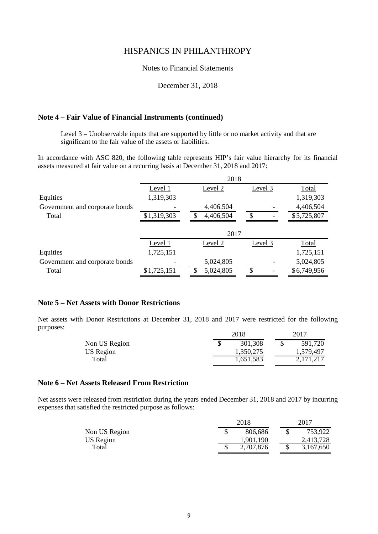#### Notes to Financial Statements

#### December 31, 2018

#### **Note 4 – Fair Value of Financial Instruments (continued)**

Level 3 – Unobservable inputs that are supported by little or no market activity and that are significant to the fair value of the assets or liabilities.

In accordance with ASC 820, the following table represents HIP's fair value hierarchy for its financial assets measured at fair value on a recurring basis at December 31, 2018 and 2017:

|                                | 2018        |                |               |             |  |  |
|--------------------------------|-------------|----------------|---------------|-------------|--|--|
|                                | Level 1     | Level 2        | Level 3       | Total       |  |  |
| Equities                       | 1,319,303   |                |               | 1,319,303   |  |  |
| Government and corporate bonds |             | 4,406,504      |               | 4,406,504   |  |  |
| Total                          | \$1,319,303 | 4,406,504<br>S | \$.           | \$5,725,807 |  |  |
|                                |             | 2017           |               |             |  |  |
|                                | Level 1     | Level 2        | Level 3       | Total       |  |  |
| Equities                       | 1,725,151   |                |               | 1,725,151   |  |  |
| Government and corporate bonds |             | 5,024,805      |               | 5,024,805   |  |  |
| Total                          | \$1,725,151 | 5,024,805      | $\mathcal{S}$ | \$6,749,956 |  |  |

#### **Note 5 – Net Assets with Donor Restrictions**

Net assets with Donor Restrictions at December 31, 2018 and 2017 were restricted for the following purposes:

|               |  | 2018      | 2017 |             |  |
|---------------|--|-----------|------|-------------|--|
| Non US Region |  | 301,308   | \$   | 591,720     |  |
| US Region     |  | 1,350,275 |      | 1,579,497   |  |
| Total         |  | 1,651,583 |      | 2, 171, 217 |  |

#### **Note 6 – Net Assets Released From Restriction**

Net assets were released from restriction during the years ended December 31, 2018 and 2017 by incurring expenses that satisfied the restricted purpose as follows:

|               | 2018      | 2017      |  |  |
|---------------|-----------|-----------|--|--|
| Non US Region | 806,686   | 753,922   |  |  |
| US Region     | 1,901,190 | 2,413,728 |  |  |
| Total         | 2,707,876 | 3,167,650 |  |  |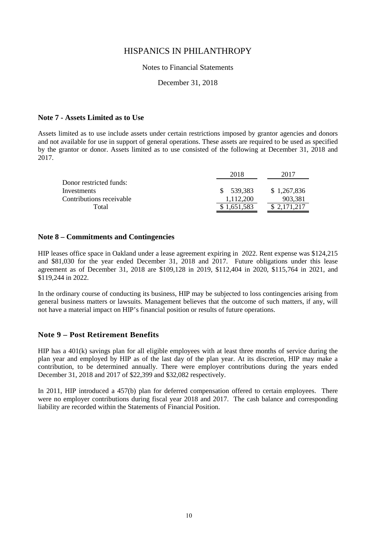#### Notes to Financial Statements

#### December 31, 2018

#### **Note 7 - Assets Limited as to Use**

Assets limited as to use include assets under certain restrictions imposed by grantor agencies and donors and not available for use in support of general operations. These assets are required to be used as specified by the grantor or donor. Assets limited as to use consisted of the following at December 31, 2018 and 2017.

|                          | 2018       | 2017         |
|--------------------------|------------|--------------|
| Donor restricted funds:  |            |              |
| Investments              | \$ 539.383 | \$1,267,836  |
| Contributions receivable | 1,112,200  | 903.381      |
| Total                    | .651,583   | \$ 2,171,217 |

#### **Note 8 – Commitments and Contingencies**

HIP leases office space in Oakland under a lease agreement expiring in 2022. Rent expense was \$124,215 and \$81,030 for the year ended December 31, 2018 and 2017. Future obligations under this lease agreement as of December 31, 2018 are \$109,128 in 2019, \$112,404 in 2020, \$115,764 in 2021, and \$119,244 in 2022.

In the ordinary course of conducting its business, HIP may be subjected to loss contingencies arising from general business matters or lawsuits. Management believes that the outcome of such matters, if any, will not have a material impact on HIP's financial position or results of future operations.

#### **Note 9 – Post Retirement Benefits**

HIP has a 401(k) savings plan for all eligible employees with at least three months of service during the plan year and employed by HIP as of the last day of the plan year. At its discretion, HIP may make a contribution, to be determined annually. There were employer contributions during the years ended December 31, 2018 and 2017 of \$22,399 and \$32,082 respectively.

In 2011, HIP introduced a 457(b) plan for deferred compensation offered to certain employees. There were no employer contributions during fiscal year 2018 and 2017. The cash balance and corresponding liability are recorded within the Statements of Financial Position.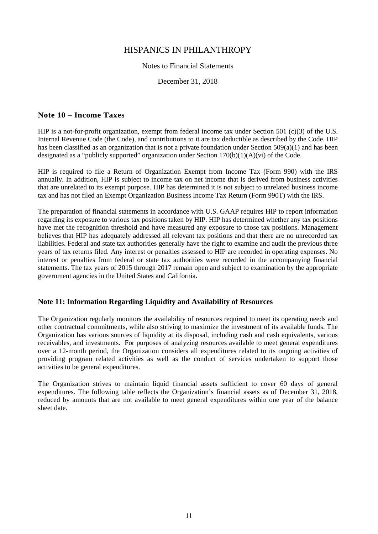#### Notes to Financial Statements

#### December 31, 2018

#### **Note 10 – Income Taxes**

HIP is a not-for-profit organization, exempt from federal income tax under Section 501 (c)(3) of the U.S. Internal Revenue Code (the Code), and contributions to it are tax deductible as described by the Code. HIP has been classified as an organization that is not a private foundation under Section 509(a)(1) and has been designated as a "publicly supported" organization under Section  $170(b)(1)(A)(vi)$  of the Code.

HIP is required to file a Return of Organization Exempt from Income Tax (Form 990) with the IRS annually. In addition, HIP is subject to income tax on net income that is derived from business activities that are unrelated to its exempt purpose. HIP has determined it is not subject to unrelated business income tax and has not filed an Exempt Organization Business Income Tax Return (Form 990T) with the IRS.

The preparation of financial statements in accordance with U.S. GAAP requires HIP to report information regarding its exposure to various tax positions taken by HIP. HIP has determined whether any tax positions have met the recognition threshold and have measured any exposure to those tax positions. Management believes that HIP has adequately addressed all relevant tax positions and that there are no unrecorded tax liabilities. Federal and state tax authorities generally have the right to examine and audit the previous three years of tax returns filed. Any interest or penalties assessed to HIP are recorded in operating expenses. No interest or penalties from federal or state tax authorities were recorded in the accompanying financial statements. The tax years of 2015 through 2017 remain open and subject to examination by the appropriate government agencies in the United States and California.

#### **Note 11: Information Regarding Liquidity and Availability of Resources**

The Organization regularly monitors the availability of resources required to meet its operating needs and other contractual commitments, while also striving to maximize the investment of its available funds. The Organization has various sources of liquidity at its disposal, including cash and cash equivalents, various receivables, and investments. For purposes of analyzing resources available to meet general expenditures over a 12-month period, the Organization considers all expenditures related to its ongoing activities of providing program related activities as well as the conduct of services undertaken to support those activities to be general expenditures.

The Organization strives to maintain liquid financial assets sufficient to cover 60 days of general expenditures. The following table reflects the Organization's financial assets as of December 31, 2018, reduced by amounts that are not available to meet general expenditures within one year of the balance sheet date.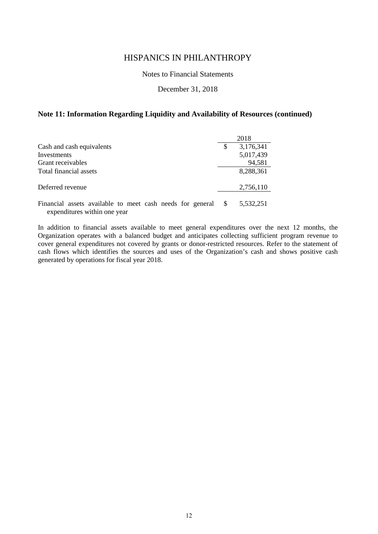#### Notes to Financial Statements

December 31, 2018

#### **Note 11: Information Regarding Liquidity and Availability of Resources (continued)**

|                           | 2018      |
|---------------------------|-----------|
| Cash and cash equivalents | 3,176,341 |
| Investments               | 5,017,439 |
| Grant receivables         | 94,581    |
| Total financial assets    | 8,288,361 |
| Deferred revenue          | 2,756,110 |

Financial assets available to meet cash needs for general \$ 5,532,251 expenditures within one year

In addition to financial assets available to meet general expenditures over the next 12 months, the Organization operates with a balanced budget and anticipates collecting sufficient program revenue to cover general expenditures not covered by grants or donor-restricted resources. Refer to the statement of cash flows which identifies the sources and uses of the Organization's cash and shows positive cash generated by operations for fiscal year 2018.